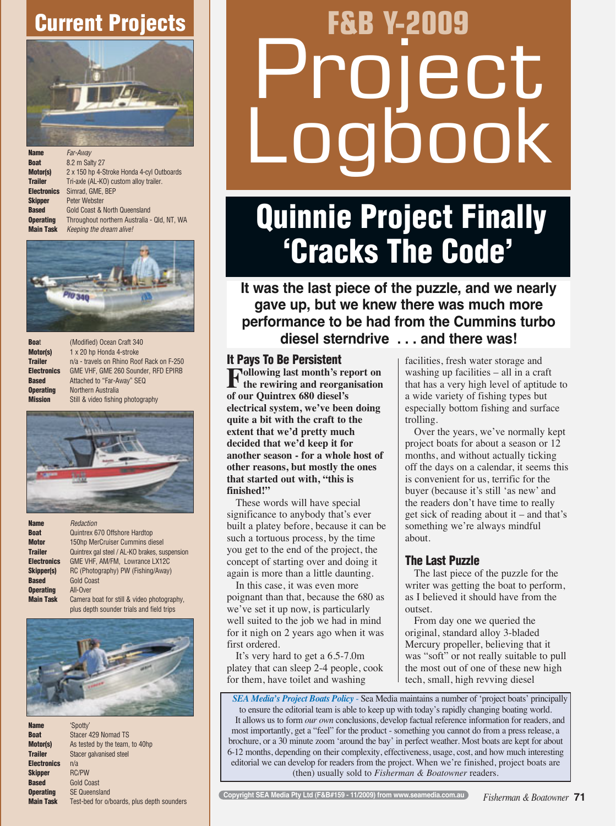## Current Projects



| <b>Name</b>        | Far-Awav                                    |
|--------------------|---------------------------------------------|
| <b>Boat</b>        | 8.2 m Salty 27                              |
| Motor(s)           | 2 x 150 hp 4-Stroke Honda 4-cyl Outboards   |
| <b>Trailer</b>     | Tri-axle (AL-KO) custom alloy trailer.      |
| <b>Electronics</b> | Simrad. GME. BEP                            |
| <b>Skipper</b>     | <b>Peter Webster</b>                        |
| <b>Based</b>       | <b>Gold Coast &amp; North Queensland</b>    |
| <b>Operating</b>   | Throughout northern Australia - Qld, NT, WA |
| <b>Main Task</b>   | Keeping the dream alive!                    |



| <b>Boat</b>        |
|--------------------|
| Motor(s)           |
| <b>Trailer</b>     |
| <b>Electronic:</b> |
| <b>Based</b>       |
| <b>Operating</b>   |
| Miccion            |

(Modified) Ocean Craft 340 1 x 20 hp Honda 4-stroke n/a - travels on Rhino Roof Rack on F-250 GME VHF, GME 260 Sounder, RFD EPIRB Attached to "Far-Away" SEQ **Northern Australia** Still & video fishing photography



| <b>Name</b>        | Redaction                                     |
|--------------------|-----------------------------------------------|
| <b>Boat</b>        | Quintrex 670 Offshore Hardtop                 |
| <b>Motor</b>       | 150hp MerCruiser Cummins diesel               |
| <b>Trailer</b>     | Quintrex gal steel / AL-KO brakes, suspension |
| <b>Electronics</b> | GME VHF, AM/FM, Lowrance LX12C                |
| Skipper(s)         | RC (Photography) PW (Fishing/Away)            |
| <b>Based</b>       | <b>Gold Coast</b>                             |
| <b>Operating</b>   | All-Over                                      |
| <b>Main Task</b>   | Camera boat for still & video photography.    |
|                    | plus depth sounder trials and field trips     |



Name 'Spotty' **Boat** Stacer 429 Nomad TS **Motor(s)** As tested by the team, to 40hp **Trailer** Stacer galvanised steel Electronics n/a Skipper RC/PW Based Gold Coast **Operating** SE Queensland<br>**Main Task** Test-bed for o/t Test-bed for o/boards, plus depth sounders

# **F&B Y-2009**  pject<br>pook

## **Quinnie Project Finally<br>Cracks The Code** Quinnie Project Finally 'Cracks The Code'

**It was the last piece of the puzzle, and we nearly gave up, but we knew there was much more performance to be had from the Cummins turbo diesel sterndrive . . . and there was!** 

#### It Pays To Be Persistent

**Following last month's report on the rewiring and reorganisation of our Quintrex 680 diesel's electrical system, we've been doing quite a bit with the craft to the extent that we'd pretty much decided that we'd keep it for another season - for a whole host of other reasons, but mostly the ones that started out with, "this is finished!"** 

These words will have special significance to anybody that's ever built a platey before, because it can be such a tortuous process, by the time you get to the end of the project, the concept of starting over and doing it again is more than a little daunting.

In this case, it was even more poignant than that, because the 680 as we've set it up now, is particularly well suited to the job we had in mind for it nigh on 2 years ago when it was first ordered.

It's very hard to get a 6.5-7.0m platey that can sleep 2-4 people, cook for them, have toilet and washing

facilities, fresh water storage and washing up facilities – all in a craft that has a very high level of aptitude to a wide variety of fishing types but especially bottom fishing and surface trolling.

Over the years, we've normally kept project boats for about a season or 12 months, and without actually ticking off the days on a calendar, it seems this is convenient for us, terrific for the buyer (because it's still 'as new' and the readers don't have time to really get sick of reading about it – and that's something we're always mindful about.

### The Last Puzzle

The last piece of the puzzle for the writer was getting the boat to perform, as I believed it should have from the outset.

From day one we queried the original, standard alloy 3-bladed Mercury propeller, believing that it was "soft" or not really suitable to pull the most out of one of these new high tech, small, high revving diesel

*SEA Media's Project Boats Policy* - Sea Media maintains a number of 'project boats' principally to ensure the editorial team is able to keep up with today's rapidly changing boating world. It allows us to form *our own* conclusions, develop factual reference information for readers, and most importantly, get a "feel" for the product - something you cannot do from a press release, a brochure, or a 30 minute zoom 'around the bay' in perfect weather. Most boats are kept for about 6-12 months, depending on their complexity, effectiveness, usage, cost, and how much interesting editorial we can develop for readers from the project. When we're finished, project boats are (then) usually sold to *Fisherman & Boatowner* readers.

**Copyright SEA Media Pty Ltd (F&B#159 - 11/2009) from www.seamedia.com.au**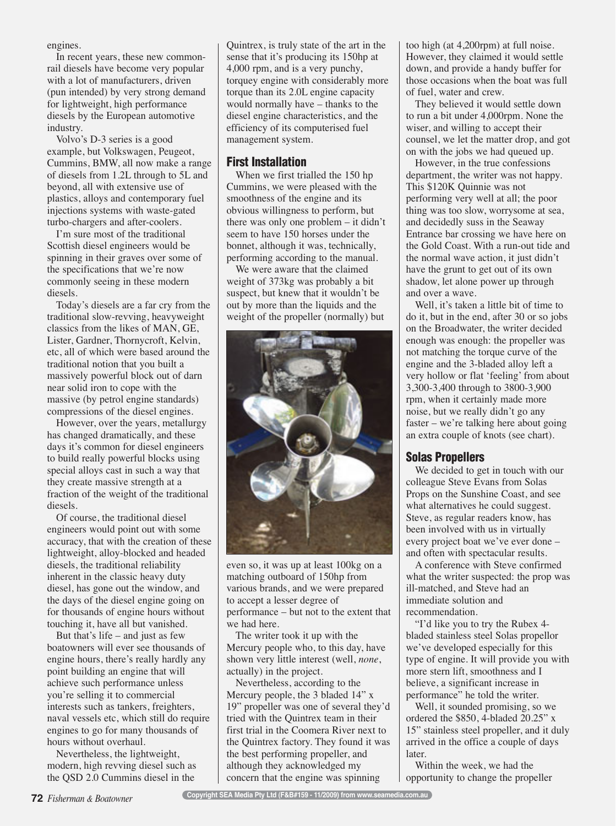engines.

In recent years, these new commonrail diesels have become very popular with a lot of manufacturers, driven (pun intended) by very strong demand for lightweight, high performance diesels by the European automotive industry.

Volvo's D-3 series is a good example, but Volkswagen, Peugeot, Cummins, BMW, all now make a range of diesels from 1.2L through to 5L and beyond, all with extensive use of plastics, alloys and contemporary fuel injections systems with waste-gated turbo-chargers and after-coolers.

I'm sure most of the traditional Scottish diesel engineers would be spinning in their graves over some of the specifications that we're now commonly seeing in these modern diesels.

Today's diesels are a far cry from the traditional slow-revving, heavyweight classics from the likes of MAN, GE, Lister, Gardner, Thornycroft, Kelvin, etc, all of which were based around the traditional notion that you built a massively powerful block out of darn near solid iron to cope with the massive (by petrol engine standards) compressions of the diesel engines.

However, over the years, metallurgy has changed dramatically, and these days it's common for diesel engineers to build really powerful blocks using special alloys cast in such a way that they create massive strength at a fraction of the weight of the traditional diesels.

Of course, the traditional diesel engineers would point out with some accuracy, that with the creation of these lightweight, alloy-blocked and headed diesels, the traditional reliability inherent in the classic heavy duty diesel, has gone out the window, and the days of the diesel engine going on for thousands of engine hours without touching it, have all but vanished.

But that's life – and just as few boatowners will ever see thousands of engine hours, there's really hardly any point building an engine that will achieve such performance unless you're selling it to commercial interests such as tankers, freighters, naval vessels etc, which still do require engines to go for many thousands of hours without overhaul.

Nevertheless, the lightweight, modern, high revving diesel such as the QSD 2.0 Cummins diesel in the

Quintrex, is truly state of the art in the sense that it's producing its 150hp at 4,000 rpm, and is a very punchy, torquey engine with considerably more torque than its 2.0L engine capacity would normally have – thanks to the diesel engine characteristics, and the efficiency of its computerised fuel management system.

## First Installation

When we first trialled the 150 hp Cummins, we were pleased with the smoothness of the engine and its obvious willingness to perform, but there was only one problem – it didn't seem to have 150 horses under the bonnet, although it was, technically, performing according to the manual.

We were aware that the claimed weight of 373kg was probably a bit suspect, but knew that it wouldn't be out by more than the liquids and the weight of the propeller (normally) but



even so, it was up at least 100kg on a matching outboard of 150hp from various brands, and we were prepared to accept a lesser degree of performance – but not to the extent that we had here.

The writer took it up with the Mercury people who, to this day, have shown very little interest (well, *none*, actually) in the project.

Nevertheless, according to the Mercury people, the 3 bladed 14" x 19" propeller was one of several they'd tried with the Quintrex team in their first trial in the Coomera River next to the Quintrex factory. They found it was the best performing propeller, and although they acknowledged my concern that the engine was spinning

too high (at 4,200rpm) at full noise. However, they claimed it would settle down, and provide a handy buffer for those occasions when the boat was full of fuel, water and crew.

They believed it would settle down to run a bit under 4,000rpm. None the wiser, and willing to accept their counsel, we let the matter drop, and got on with the jobs we had queued up.

However, in the true confessions department, the writer was not happy. This \$120K Quinnie was not performing very well at all; the poor thing was too slow, worrysome at sea, and decidedly suss in the Seaway Entrance bar crossing we have here on the Gold Coast. With a run-out tide and the normal wave action, it just didn't have the grunt to get out of its own shadow, let alone power up through and over a wave.

Well, it's taken a little bit of time to do it, but in the end, after 30 or so jobs on the Broadwater, the writer decided enough was enough: the propeller was not matching the torque curve of the engine and the 3-bladed alloy left a very hollow or flat 'feeling' from about 3,300-3,400 through to 3800-3,900 rpm, when it certainly made more noise, but we really didn't go any faster – we're talking here about going an extra couple of knots (see chart).

### Solas Propellers

We decided to get in touch with our colleague Steve Evans from Solas Props on the Sunshine Coast, and see what alternatives he could suggest. Steve, as regular readers know, has been involved with us in virtually every project boat we've ever done – and often with spectacular results.

A conference with Steve confirmed what the writer suspected: the prop was ill-matched, and Steve had an immediate solution and recommendation.

"I'd like you to try the Rubex 4 bladed stainless steel Solas propellor we've developed especially for this type of engine. It will provide you with more stern lift, smoothness and I believe, a significant increase in performance" he told the writer.

Well, it sounded promising, so we ordered the \$850, 4-bladed 20.25" x 15" stainless steel propeller, and it duly arrived in the office a couple of days later.

Within the week, we had the opportunity to change the propeller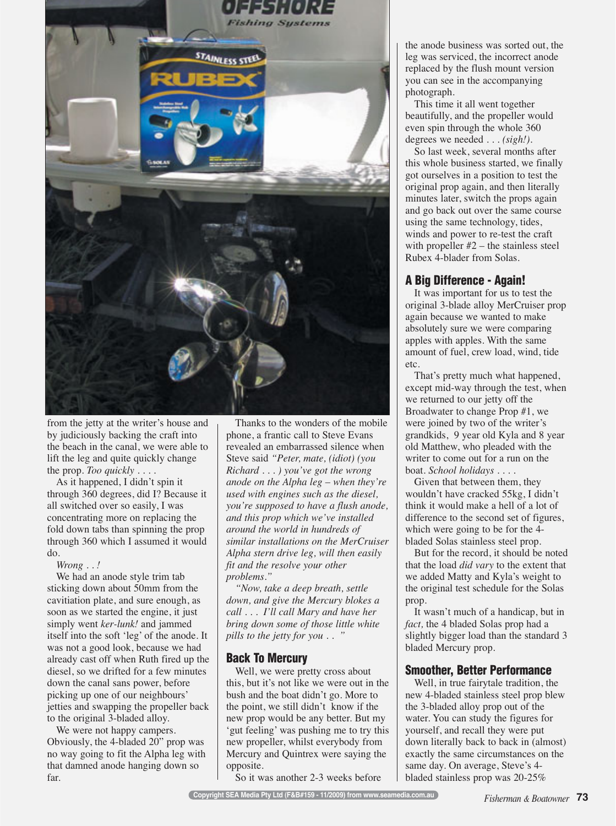

from the jetty at the writer's house and by judiciously backing the craft into the beach in the canal, we were able to lift the leg and quite quickly change the prop. *Too quickly . . . .* 

As it happened, I didn't spin it through 360 degrees, did I? Because it all switched over so easily, I was concentrating more on replacing the fold down tabs than spinning the prop through 360 which I assumed it would do.

*Wrong . . !*

We had an anode style trim tab sticking down about 50mm from the cavitiation plate, and sure enough, as soon as we started the engine, it just simply went *ker-lunk!* and jammed itself into the soft 'leg' of the anode. It was not a good look, because we had already cast off when Ruth fired up the diesel, so we drifted for a few minutes down the canal sans power, before picking up one of our neighbours' jetties and swapping the propeller back to the original 3-bladed alloy.

We were not happy campers. Obviously, the 4-bladed 20" prop was no way going to fit the Alpha leg with that damned anode hanging down so far.

Thanks to the wonders of the mobile phone, a frantic call to Steve Evans revealed an embarrassed silence when Steve said *"Peter, mate, (idiot) (you Richard . . . ) you've got the wrong anode on the Alpha leg – when they're used with engines such as the diesel, you're supposed to have a flush anode, and this prop which we've installed around the world in hundreds of similar installations on the MerCruiser Alpha stern drive leg, will then easily fit and the resolve your other problems."*

*"Now, take a deep breath, settle down, and give the Mercury blokes a call . . . I'll call Mary and have her bring down some of those little white pills to the jetty for you . . "*

Well, we were pretty cross about this, but it's not like we were out in the bush and the boat didn't go. More to the point, we still didn't know if the new prop would be any better. But my 'gut feeling' was pushing me to try this new propeller, whilst everybody from Mercury and Quintrex were saying the opposite.

So it was another 2-3 weeks before

the anode business was sorted out, the leg was serviced, the incorrect anode replaced by the flush mount version you can see in the accompanying photograph.

This time it all went together beautifully, and the propeller would even spin through the whole 360 degrees we needed . . . *(sigh!).*

So last week, several months after this whole business started, we finally got ourselves in a position to test the original prop again, and then literally minutes later, switch the props again and go back out over the same course using the same technology, tides, winds and power to re-test the craft with propeller  $#2$  – the stainless steel Rubex 4-blader from Solas.

It was important for us to test the original 3-blade alloy MerCruiser prop again because we wanted to make absolutely sure we were comparing apples with apples. With the same amount of fuel, crew load, wind, tide etc.

That's pretty much what happened, except mid-way through the test, when we returned to our jetty off the Broadwater to change Prop #1, we were joined by two of the writer's grandkids, 9 year old Kyla and 8 year old Matthew, who pleaded with the writer to come out for a run on the boat. *School holidays . . . .*

Given that between them, they wouldn't have cracked 55kg, I didn't think it would make a hell of a lot of difference to the second set of figures, which were going to be for the 4 bladed Solas stainless steel prop.

But for the record, it should be noted that the load *did vary* to the extent that we added Matty and Kyla's weight to the original test schedule for the Solas prop.

It wasn't much of a handicap, but in *fact,* the 4 bladed Solas prop had a slightly bigger load than the standard 3 bladed Mercury prop.

Well, in true fairytale tradition, the new 4-bladed stainless steel prop blew the 3-bladed alloy prop out of the water. You can study the figures for yourself, and recall they were put down literally back to back in (almost) exactly the same circumstances on the same day. On average, Steve's 4 bladed stainless prop was 20-25%